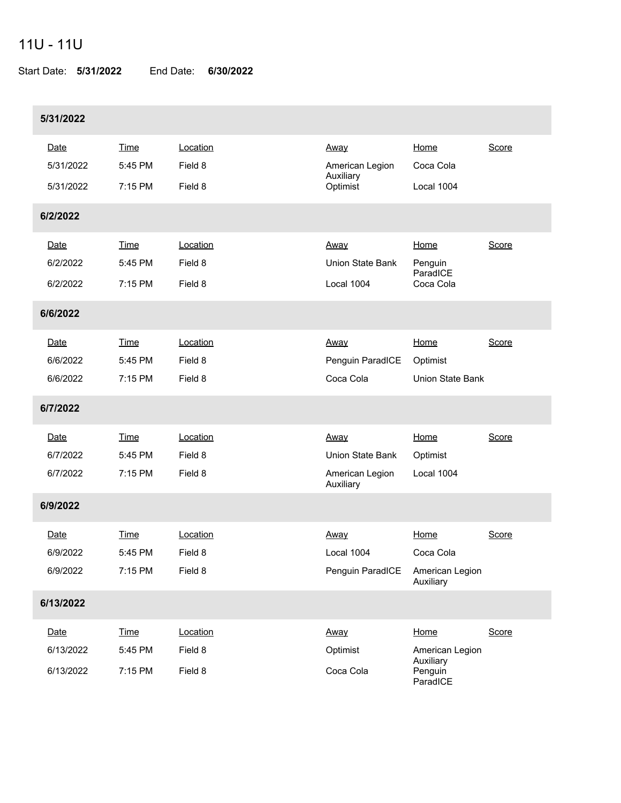## 11U - 11U

Start Date: **5/31/2022** End Date: **6/30/2022**

| 5/31/2022 |             |          |                              |                                  |       |
|-----------|-------------|----------|------------------------------|----------------------------------|-------|
| Date      | Time        | Location | <u>Away</u>                  | Home                             | Score |
| 5/31/2022 | 5:45 PM     | Field 8  | American Legion<br>Auxiliary | Coca Cola                        |       |
| 5/31/2022 | 7:15 PM     | Field 8  | Optimist                     | Local 1004                       |       |
| 6/2/2022  |             |          |                              |                                  |       |
| Date      | <b>Time</b> | Location | <u>Away</u>                  | Home                             | Score |
| 6/2/2022  | 5:45 PM     | Field 8  | Union State Bank             | Penguin                          |       |
| 6/2/2022  | 7:15 PM     | Field 8  | Local 1004                   | ParadICE<br>Coca Cola            |       |
| 6/6/2022  |             |          |                              |                                  |       |
| Date      | <b>Time</b> | Location | <u>Away</u>                  | Home                             | Score |
| 6/6/2022  | 5:45 PM     | Field 8  | Penguin ParadICE             | Optimist                         |       |
| 6/6/2022  | 7:15 PM     | Field 8  | Coca Cola                    | <b>Union State Bank</b>          |       |
| 6/7/2022  |             |          |                              |                                  |       |
| Date      | Time        | Location | <u>Away</u>                  | Home                             | Score |
| 6/7/2022  | 5:45 PM     | Field 8  | Union State Bank             | Optimist                         |       |
| 6/7/2022  | 7:15 PM     | Field 8  | American Legion<br>Auxiliary | Local 1004                       |       |
| 6/9/2022  |             |          |                              |                                  |       |
| Date      | Time        | Location | Away                         | Home                             | Score |
| 6/9/2022  | 5:45 PM     | Field 8  | Local 1004                   | Coca Cola                        |       |
| 6/9/2022  | 7:15 PM     | Field 8  | Penguin ParadICE             | American Legion<br>Auxiliary     |       |
| 6/13/2022 |             |          |                              |                                  |       |
| Date      | <b>Time</b> | Location | Away                         | Home                             | Score |
| 6/13/2022 | 5:45 PM     | Field 8  | Optimist                     | American Legion                  |       |
| 6/13/2022 | 7:15 PM     | Field 8  | Coca Cola                    | Auxiliary<br>Penguin<br>ParadICE |       |